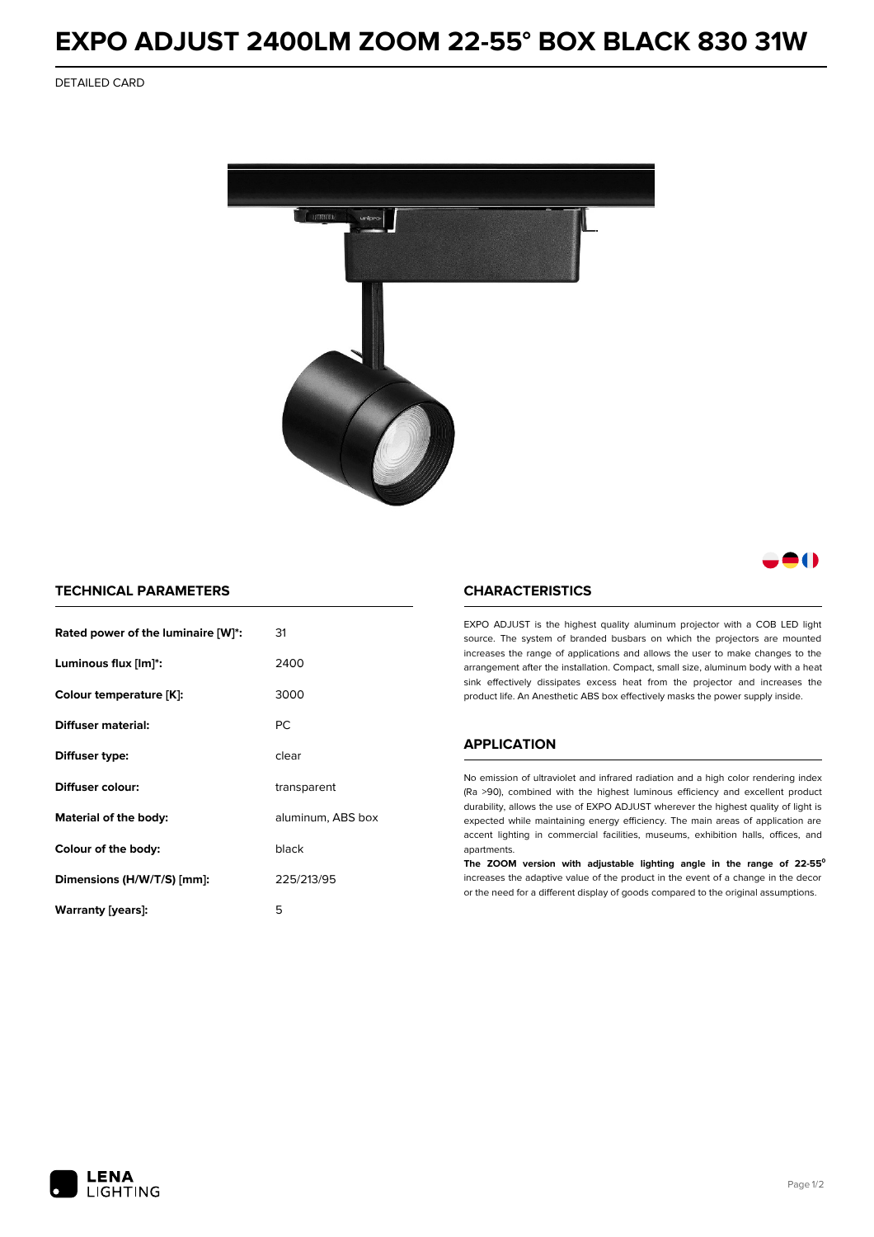# **EXPO ADJUST 2400LM ZOOM 22-55° BOX BLACK 830 31W**

DETAILED CARD



# 80

### **TECHNICAL PARAMETERS**

| Rated power of the luminaire [W]*: | 31                |
|------------------------------------|-------------------|
| Luminous flux [lm]*:               | 2400              |
| Colour temperature [K]:            | 3000              |
| Diffuser material:                 | РC                |
| Diffuser type:                     | clear             |
| Diffuser colour:                   | transparent       |
| Material of the body:              | aluminum, ABS box |
| Colour of the body:                | black             |
| Dimensions (H/W/T/S) [mm]:         | 225/213/95        |
| Warranty [years]:                  | 5                 |

#### **CHARACTERISTICS**

EXPO ADJUST is the highest quality aluminum projector with a COB LED light source. The system of branded busbars on which the projectors are mounted increases the range of applications and allows the user to make changes to the arrangement after the installation. Compact, small size, aluminum body with a heat sink effectively dissipates excess heat from the projector and increases the product life. An Anesthetic ABS box effectively masks the power supply inside.

## **APPLICATION**

No emission of ultraviolet and infrared radiation and a high color rendering index (Ra >90), combined with the highest luminous efficiency and excellent product durability, allows the use of EXPO ADJUST wherever the highest quality of light is expected while maintaining energy efficiency. The main areas of application are accent lighting in commercial facilities, museums, exhibition halls, offices, and apartments.

**The ZOOM version with adjustable lighting angle in the range of 22-55⁰** increases the adaptive value of the product in the event of a change in the decor or the need for a different display of goods compared to the original assumptions.